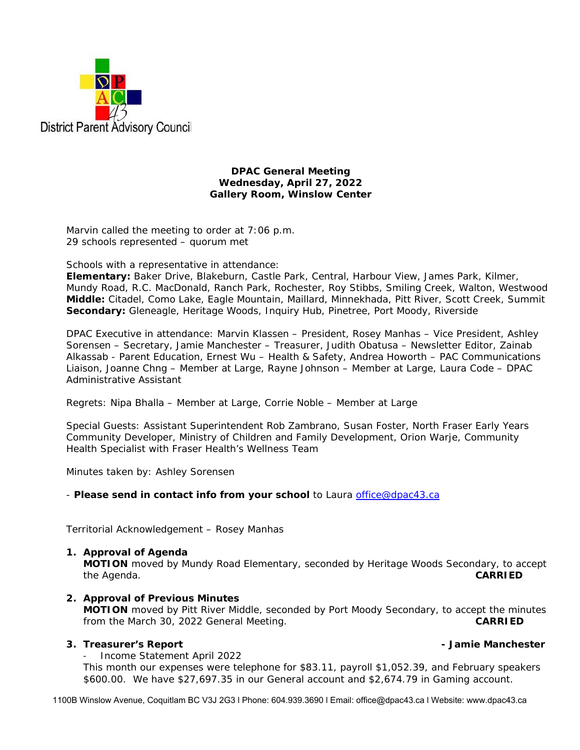

#### **DPAC General Meeting Wednesday, April 27, 2022 Gallery Room, Winslow Center**

Marvin called the meeting to order at 7:06 p.m. 29 schools represented – quorum met

Schools with a representative in attendance:

**Elementary:** Baker Drive, Blakeburn, Castle Park, Central, Harbour View, James Park, Kilmer, Mundy Road, R.C. MacDonald, Ranch Park, Rochester, Roy Stibbs, Smiling Creek, Walton, Westwood **Middle:** Citadel, Como Lake, Eagle Mountain, Maillard, Minnekhada, Pitt River, Scott Creek, Summit **Secondary:** Gleneagle, Heritage Woods, Inquiry Hub, Pinetree, Port Moody, Riverside

DPAC Executive in attendance: Marvin Klassen – President, Rosey Manhas – Vice President, Ashley Sorensen – Secretary, Jamie Manchester – Treasurer, Judith Obatusa – Newsletter Editor, Zainab Alkassab - Parent Education, Ernest Wu – Health & Safety, Andrea Howorth – PAC Communications Liaison, Joanne Chng – Member at Large, Rayne Johnson – Member at Large, Laura Code – DPAC Administrative Assistant

Regrets: Nipa Bhalla – Member at Large, Corrie Noble – Member at Large

Special Guests: Assistant Superintendent Rob Zambrano, Susan Foster, North Fraser Early Years Community Developer, Ministry of Children and Family Development, Orion Warje, Community Health Specialist with Fraser Health's Wellness Team

Minutes taken by: Ashley Sorensen

- *Please send in contact info from your school* to Laura office@dpac43.ca

Territorial Acknowledgement – Rosey Manhas

#### **1. Approval of Agenda**

**MOTION** moved by *Mundy Road Elementary*, seconded by *Heritage Woods Secondary,* to accept the Agenda. **CARRIED** 

**2. Approval of Previous Minutes MOTION** moved by *Pitt River Middle*, seconded by *Port Moody Secondary*, to accept the minutes from the March 30, 2022 General Meeting. **CARRIED** 

#### **3. Treasurer's Report - Jamie Manchester**

<sup>−</sup> Income Statement April 2022

This month our expenses were telephone for \$83.11, payroll \$1,052.39, and February speakers \$600.00. We have \$27,697.35 in our General account and \$2,674.79 in Gaming account.

1100B Winslow Avenue, Coquitlam BC V3J 2G3 l Phone: 604.939.3690 l Email: office@dpac43.ca l Website: www.dpac43.ca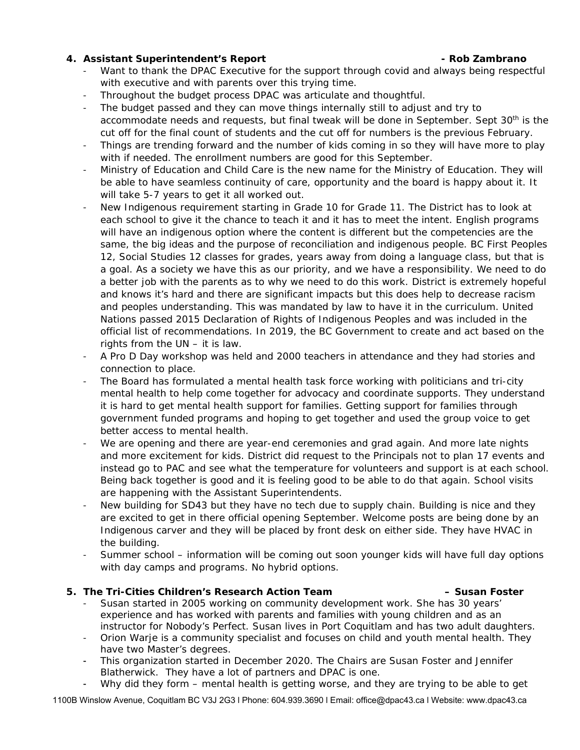### **4. Assistant Superintendent's Report - Rob Zambrano**

- Want to thank the DPAC Executive for the support through covid and always being respectful with executive and with parents over this trying time.
- Throughout the budget process DPAC was articulate and thoughtful.
- The budget passed and they can move things internally still to adjust and try to accommodate needs and requests, but final tweak will be done in September. Sept 30<sup>th</sup> is the cut off for the final count of students and the cut off for numbers is the previous February.
- Things are trending forward and the number of kids coming in so they will have more to play with if needed. The enrollment numbers are good for this September.
- <sup>−</sup> Ministry of Education and Child Care is the new name for the Ministry of Education. They will be able to have seamless continuity of care, opportunity and the board is happy about it. It will take 5-7 years to get it all worked out.
- <sup>−</sup> New Indigenous requirement starting in Grade 10 for Grade 11. The District has to look at each school to give it the chance to teach it and it has to meet the intent. English programs will have an indigenous option where the content is different but the competencies are the same, the big ideas and the purpose of reconciliation and indigenous people. BC First Peoples 12, Social Studies 12 classes for grades, years away from doing a language class, but that is a goal. As a society we have this as our priority, and we have a responsibility. We need to do a better job with the parents as to why we need to do this work. District is extremely hopeful and knows it's hard and there are significant impacts but this does help to decrease racism and peoples understanding. This was mandated by law to have it in the curriculum. United Nations passed 2015 Declaration of Rights of Indigenous Peoples and was included in the official list of recommendations. In 2019, the BC Government to create and act based on the rights from the UN – it is law.
- <sup>−</sup> A Pro D Day workshop was held and 2000 teachers in attendance and they had stories and connection to place.
- The Board has formulated a mental health task force working with politicians and tri-city mental health to help come together for advocacy and coordinate supports. They understand it is hard to get mental health support for families. Getting support for families through government funded programs and hoping to get together and used the group voice to get better access to mental health.
- We are opening and there are year-end ceremonies and grad again. And more late nights and more excitement for kids. District did request to the Principals not to plan 17 events and instead go to PAC and see what the temperature for volunteers and support is at each school. Being back together is good and it is feeling good to be able to do that again. School visits are happening with the Assistant Superintendents.
- New building for SD43 but they have no tech due to supply chain. Building is nice and they are excited to get in there official opening September. Welcome posts are being done by an Indigenous carver and they will be placed by front desk on either side. They have HVAC in the building.
- Summer school information will be coming out soon younger kids will have full day options with day camps and programs. No hybrid options.

## **5. The Tri-Cities Children's Research Action Team – Susan Foster**

- Susan started in 2005 working on community development work. She has 30 years' experience and has worked with parents and families with young children and as an instructor for Nobody's Perfect. Susan lives in Port Coquitlam and has two adult daughters.
- <sup>−</sup> Orion Warje is a community specialist and focuses on child and youth mental health. They have two Master's degrees.
- **<sup>−</sup>** This organization started in December 2020. The Chairs are Susan Foster and Jennifer Blatherwick. They have a lot of partners and DPAC is one.
- **<sup>−</sup>** Why did they form mental health is getting worse, and they are trying to be able to get

1100B Winslow Avenue, Coquitlam BC V3J 2G3 l Phone: 604.939.3690 l Email: office@dpac43.ca l Website: www.dpac43.ca